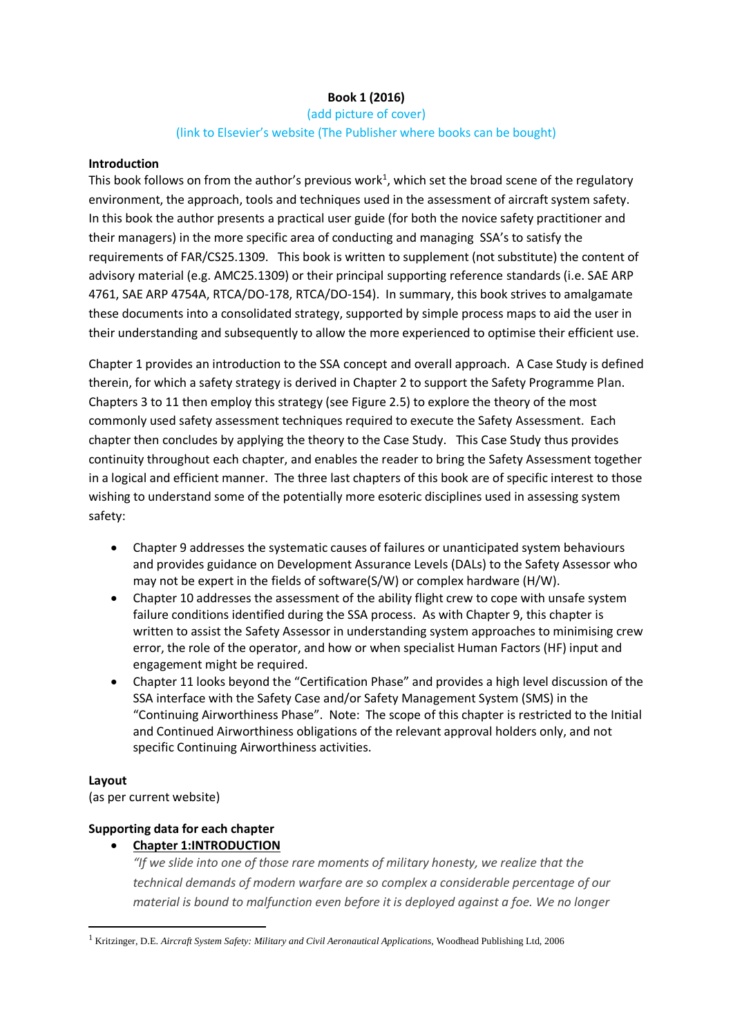# **Book 1 (2016)**

# (add picture of cover) (link to Elsevier's website (The Publisher where books can be bought)

#### **Introduction**

This book follows on from the author's previous work<sup>1</sup>, which set the broad scene of the regulatory environment, the approach, tools and techniques used in the assessment of aircraft system safety. In this book the author presents a practical user guide (for both the novice safety practitioner and their managers) in the more specific area of conducting and managing SSA's to satisfy the requirements of FAR/CS25.1309. This book is written to supplement (not substitute) the content of advisory material (e.g. AMC25.1309) or their principal supporting reference standards (i.e. SAE ARP 4761, SAE ARP 4754A, RTCA/DO-178, RTCA/DO-154). In summary, this book strives to amalgamate these documents into a consolidated strategy, supported by simple process maps to aid the user in their understanding and subsequently to allow the more experienced to optimise their efficient use.

Chapter 1 provides an introduction to the SSA concept and overall approach. A Case Study is defined therein, for which a safety strategy is derived in Chapter 2 to support the Safety Programme Plan. Chapters 3 to 11 then employ this strategy (see Figure 2.5) to explore the theory of the most commonly used safety assessment techniques required to execute the Safety Assessment. Each chapter then concludes by applying the theory to the Case Study. This Case Study thus provides continuity throughout each chapter, and enables the reader to bring the Safety Assessment together in a logical and efficient manner. The three last chapters of this book are of specific interest to those wishing to understand some of the potentially more esoteric disciplines used in assessing system safety:

- Chapter 9 addresses the systematic causes of failures or unanticipated system behaviours and provides guidance on Development Assurance Levels (DALs) to the Safety Assessor who may not be expert in the fields of software(S/W) or complex hardware (H/W).
- Chapter 10 addresses the assessment of the ability flight crew to cope with unsafe system failure conditions identified during the SSA process. As with Chapter 9, this chapter is written to assist the Safety Assessor in understanding system approaches to minimising crew error, the role of the operator, and how or when specialist Human Factors (HF) input and engagement might be required.
- Chapter 11 looks beyond the "Certification Phase" and provides a high level discussion of the SSA interface with the Safety Case and/or Safety Management System (SMS) in the "Continuing Airworthiness Phase". Note: The scope of this chapter is restricted to the Initial and Continued Airworthiness obligations of the relevant approval holders only, and not specific Continuing Airworthiness activities.

## **Layout**

-

(as per current website)

## **Supporting data for each chapter**

**Chapter 1:INTRODUCTION**

*"If we slide into one of those rare moments of military honesty, we realize that the technical demands of modern warfare are so complex a considerable percentage of our material is bound to malfunction even before it is deployed against a foe. We no longer* 

<sup>1</sup> Kritzinger, D.E. *Aircraft System Safety: Military and Civil Aeronautical Applications,* Woodhead Publishing Ltd, 2006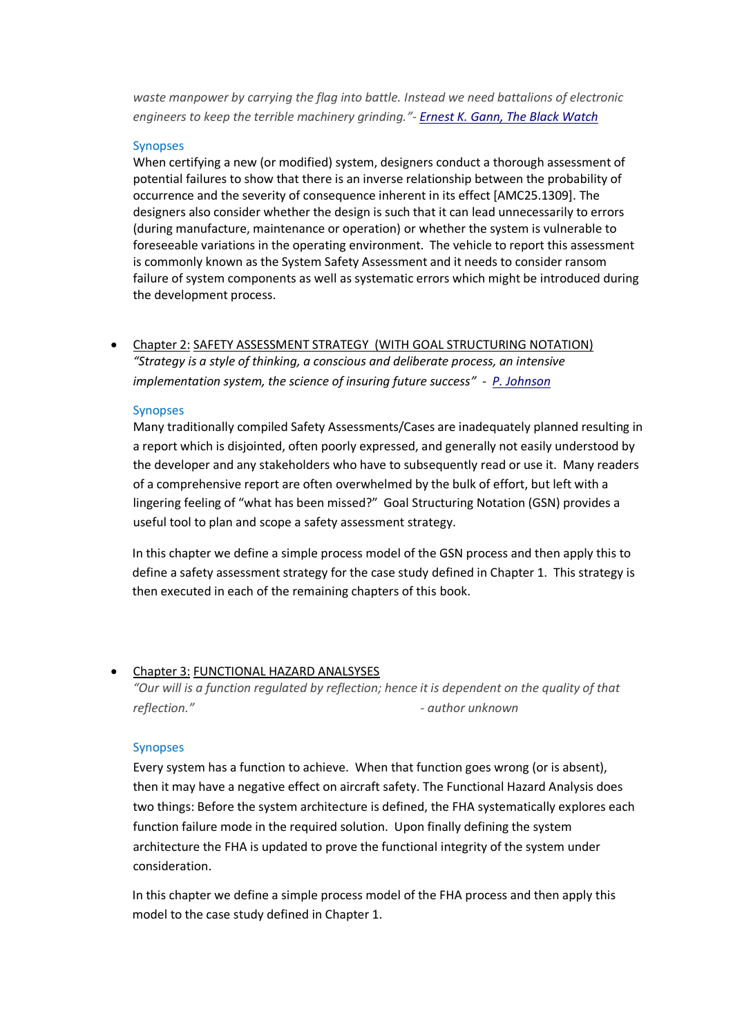*waste manpower by carrying the flag into battle. Instead we need battalions of electronic engineers to keep the terrible machinery grinding."- [Ernest K. Gann, The Black Watch](http://www.quotationspage.com/quote/5104.html)*

#### Synopses

When certifying a new (or modified) system, designers conduct a thorough assessment of potential failures to show that there is an inverse relationship between the probability of occurrence and the severity of consequence inherent in its effect [AMC25.1309]. The designers also consider whether the design is such that it can lead unnecessarily to errors (during manufacture, maintenance or operation) or whether the system is vulnerable to foreseeable variations in the operating environment. The vehicle to report this assessment is commonly known as the System Safety Assessment and it needs to consider ransom failure of system components as well as systematic errors which might be introduced during the development process.

 Chapter 2: SAFETY ASSESSMENT STRATEGY (WITH GOAL STRUCTURING NOTATION) *"Strategy is a style of thinking, a conscious and deliberate process, an intensive implementation system, the science of insuring future success" - [P. Johnson](http://www.quotationspage.com/quote/9741.html=mgm&C=motivate&C=classic&C=coles&C=poorc&C=lindsly)*

#### Synopses

Many traditionally compiled Safety Assessments/Cases are inadequately planned resulting in a report which is disjointed, often poorly expressed, and generally not easily understood by the developer and any stakeholders who have to subsequently read or use it. Many readers of a comprehensive report are often overwhelmed by the bulk of effort, but left with a lingering feeling of "what has been missed?" Goal Structuring Notation (GSN) provides a useful tool to plan and scope a safety assessment strategy.

In this chapter we define a simple process model of the GSN process and then apply this to define a safety assessment strategy for the case study defined in Chapter 1. This strategy is then executed in each of the remaining chapters of this book.

# Chapter 3: FUNCTIONAL HAZARD ANALSYSES

*"Our will is a function regulated by reflection; hence it is dependent on the quality of that reflection." - author unknown*

## Synopses

Every system has a function to achieve. When that function goes wrong (or is absent), then it may have a negative effect on aircraft safety. The Functional Hazard Analysis does two things: Before the system architecture is defined, the FHA systematically explores each function failure mode in the required solution. Upon finally defining the system architecture the FHA is updated to prove the functional integrity of the system under consideration.

In this chapter we define a simple process model of the FHA process and then apply this model to the case study defined in Chapter 1.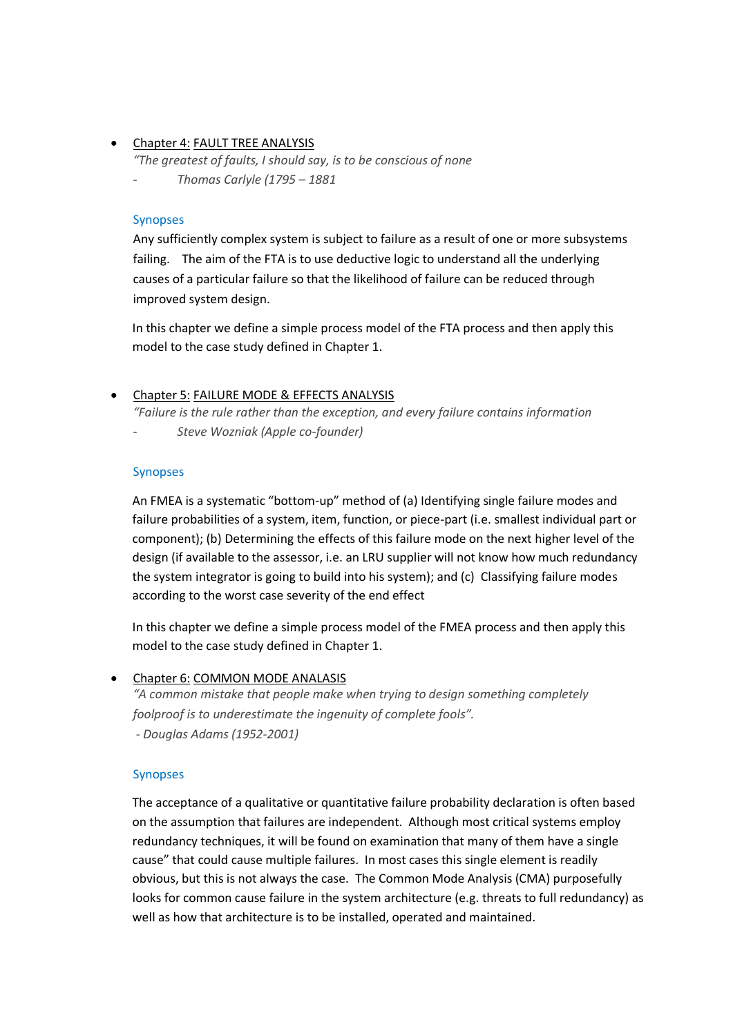## • Chapter 4: FAULT TREE ANALYSIS

*"The greatest of faults, I should say, is to be conscious of none*

*- Thomas Carlyle (1795 – 1881*

#### Synopses

Any sufficiently complex system is subject to failure as a result of one or more subsystems failing. The aim of the FTA is to use deductive logic to understand all the underlying causes of a particular failure so that the likelihood of failure can be reduced through improved system design.

In this chapter we define a simple process model of the FTA process and then apply this model to the case study defined in Chapter 1.

## • Chapter 5: FAILURE MODE & EFFECTS ANALYSIS

*"Failure is the rule rather than the exception, and every failure contains information - Steve Wozniak (Apple co-founder)*

#### Synopses

An FMEA is a systematic "bottom-up" method of (a) Identifying single failure modes and failure probabilities of a system, item, function, or piece-part (i.e. smallest individual part or component); (b) Determining the effects of this failure mode on the next higher level of the design (if available to the assessor, i.e. an LRU supplier will not know how much redundancy the system integrator is going to build into his system); and (c) Classifying failure modes according to the worst case severity of the end effect

In this chapter we define a simple process model of the FMEA process and then apply this model to the case study defined in Chapter 1.

## • Chapter 6: COMMON MODE ANALASIS

*"A common mistake that people make when trying to design something completely foolproof is to underestimate the ingenuity of complete fools". - Douglas Adams (1952-2001)*

#### Synopses

The acceptance of a qualitative or quantitative failure probability declaration is often based on the assumption that failures are independent. Although most critical systems employ redundancy techniques, it will be found on examination that many of them have a single cause" that could cause multiple failures. In most cases this single element is readily obvious, but this is not always the case. The Common Mode Analysis (CMA) purposefully looks for common cause failure in the system architecture (e.g. threats to full redundancy) as well as how that architecture is to be installed, operated and maintained.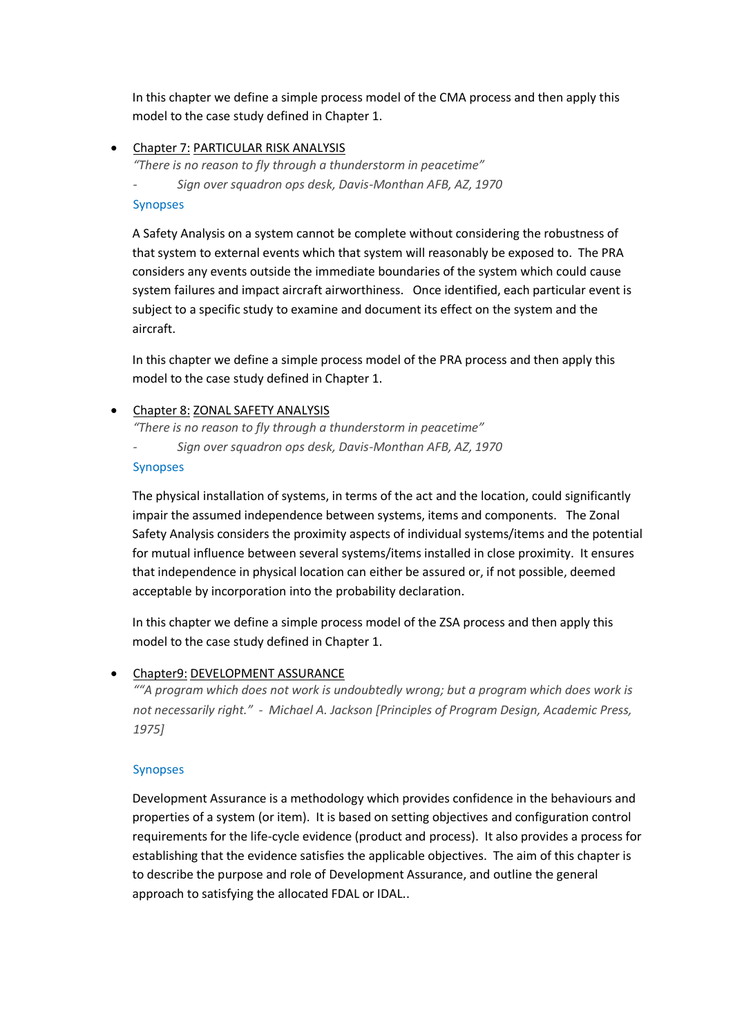In this chapter we define a simple process model of the CMA process and then apply this model to the case study defined in Chapter 1.

Chapter 7: PARTICULAR RISK ANALYSIS

*"There is no reason to fly through a thunderstorm in peacetime"* 

*- Sign over squadron ops desk, Davis-Monthan AFB, AZ, 1970*

## Synopses

A Safety Analysis on a system cannot be complete without considering the robustness of that system to external events which that system will reasonably be exposed to. The PRA considers any events outside the immediate boundaries of the system which could cause system failures and impact aircraft airworthiness. Once identified, each particular event is subject to a specific study to examine and document its effect on the system and the aircraft.

In this chapter we define a simple process model of the PRA process and then apply this model to the case study defined in Chapter 1.

## Chapter 8: ZONAL SAFETY ANALYSIS

*"There is no reason to fly through a thunderstorm in peacetime"* 

*- Sign over squadron ops desk, Davis-Monthan AFB, AZ, 1970*

## Synopses

The physical installation of systems, in terms of the act and the location, could significantly impair the assumed independence between systems, items and components. The Zonal Safety Analysis considers the proximity aspects of individual systems/items and the potential for mutual influence between several systems/items installed in close proximity. It ensures that independence in physical location can either be assured or, if not possible, deemed acceptable by incorporation into the probability declaration.

In this chapter we define a simple process model of the ZSA process and then apply this model to the case study defined in Chapter 1.

# Chapter9: DEVELOPMENT ASSURANCE

*""A program which does not work is undoubtedly wrong; but a program which does work is not necessarily right." - Michael A. Jackson [Principles of Program Design, Academic Press, 1975]*

## Synopses

Development Assurance is a methodology which provides confidence in the behaviours and properties of a system (or item). It is based on setting objectives and configuration control requirements for the life-cycle evidence (product and process). It also provides a process for establishing that the evidence satisfies the applicable objectives. The aim of this chapter is to describe the purpose and role of Development Assurance, and outline the general approach to satisfying the allocated FDAL or IDAL..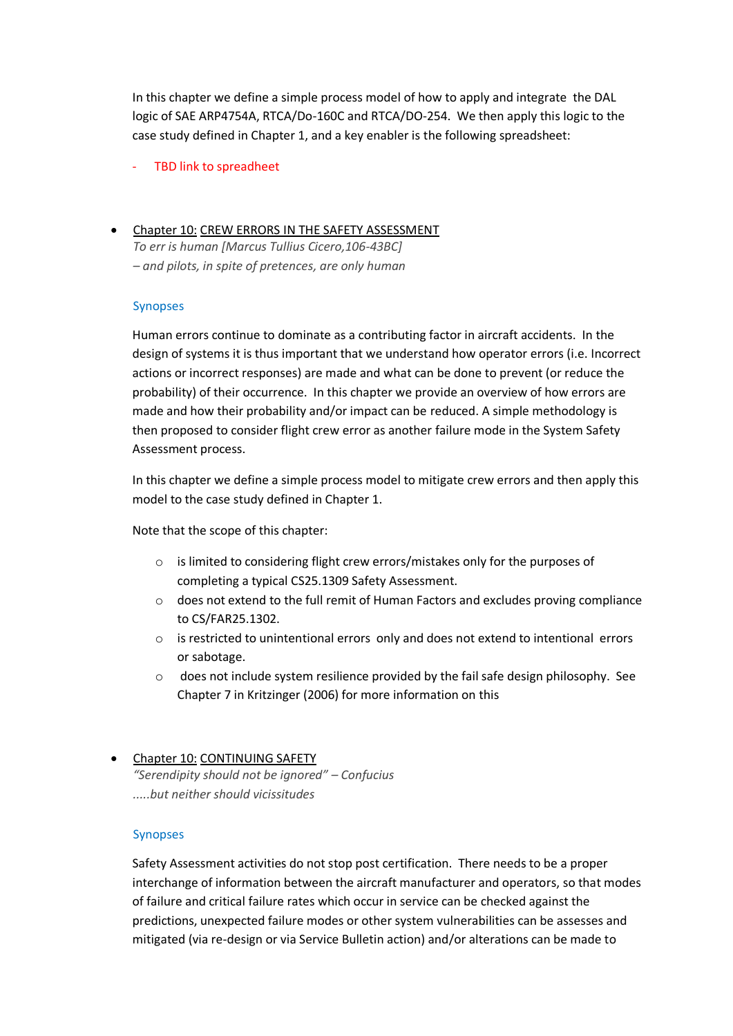In this chapter we define a simple process model of how to apply and integrate the DAL logic of SAE ARP4754A, RTCA/Do-160C and RTCA/DO-254. We then apply this logic to the case study defined in Chapter 1, and a key enabler is the following spreadsheet:

- TBD link to spreadheet

## Chapter 10: CREW ERRORS IN THE SAFETY ASSESSMENT

*To err is human [Marcus Tullius Cicero,106-43BC] – and pilots, in spite of pretences, are only human*

## Synopses

Human errors continue to dominate as a contributing factor in aircraft accidents. In the design of systems it is thus important that we understand how operator errors (i.e. Incorrect actions or incorrect responses) are made and what can be done to prevent (or reduce the probability) of their occurrence. In this chapter we provide an overview of how errors are made and how their probability and/or impact can be reduced. A simple methodology is then proposed to consider flight crew error as another failure mode in the System Safety Assessment process.

In this chapter we define a simple process model to mitigate crew errors and then apply this model to the case study defined in Chapter 1.

Note that the scope of this chapter:

- o is limited to considering flight crew errors/mistakes only for the purposes of completing a typical CS25.1309 Safety Assessment.
- $\circ$  does not extend to the full remit of Human Factors and excludes proving compliance to CS/FAR25.1302.
- $\circ$  is restricted to unintentional errors only and does not extend to intentional errors or sabotage.
- does not include system resilience provided by the fail safe design philosophy. See Chapter 7 in Kritzinger (2006) for more information on this

# • Chapter 10: CONTINUING SAFETY *"Serendipity should not be ignored" – Confucius .....but neither should vicissitudes*

## Synopses

Safety Assessment activities do not stop post certification. There needs to be a proper interchange of information between the aircraft manufacturer and operators, so that modes of failure and critical failure rates which occur in service can be checked against the predictions, unexpected failure modes or other system vulnerabilities can be assesses and mitigated (via re-design or via Service Bulletin action) and/or alterations can be made to